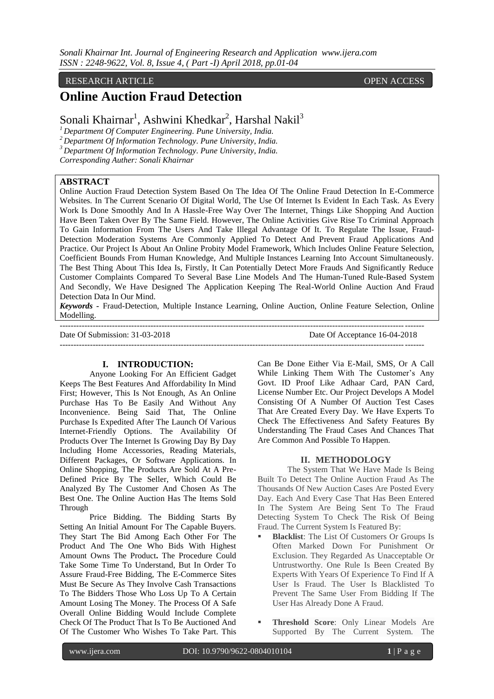# RESEARCH ARTICLE OPEN ACCESS

# **Online Auction Fraud Detection**

Sonali Khairnar<sup>1</sup>, Ashwini Khedkar<sup>2</sup>, Harshal Nakil<sup>3</sup>

*<sup>1</sup>Department Of Computer Engineering. Pune University, India.* 

*<sup>2</sup>Department Of Information Technology. Pune University, India.* 

*<sup>3</sup>Department Of Information Technology. Pune University, India.* 

*Corresponding Auther: Sonali Khairnar*

## **ABSTRACT**

Online Auction Fraud Detection System Based On The Idea Of The Online Fraud Detection In E-Commerce Websites. In The Current Scenario Of Digital World, The Use Of Internet Is Evident In Each Task. As Every Work Is Done Smoothly And In A Hassle-Free Way Over The Internet, Things Like Shopping And Auction Have Been Taken Over By The Same Field. However, The Online Activities Give Rise To Criminal Approach To Gain Information From The Users And Take Illegal Advantage Of It. To Regulate The Issue, Fraud-Detection Moderation Systems Are Commonly Applied To Detect And Prevent Fraud Applications And Practice. Our Project Is About An Online Probity Model Framework, Which Includes Online Feature Selection, Coefficient Bounds From Human Knowledge, And Multiple Instances Learning Into Account Simultaneously. The Best Thing About This Idea Is, Firstly, It Can Potentially Detect More Frauds And Significantly Reduce Customer Complaints Compared To Several Base Line Models And The Human-Tuned Rule-Based System And Secondly, We Have Designed The Application Keeping The Real-World Online Auction And Fraud Detection Data In Our Mind.

*Keywords* **-** Fraud-Detection, Multiple Instance Learning, Online Auction, Online Feature Selection, Online Modelling.

------------------------------------------------------------------------------------------------------------------------------------

Date Of Submission: 31-03-2018 Date Of Acceptance 16-04-2018

## **I. INTRODUCTION:**

Anyone Looking For An Efficient Gadget Keeps The Best Features And Affordability In Mind First; However, This Is Not Enough, As An Online Purchase Has To Be Easily And Without Any Inconvenience. Being Said That, The Online Purchase Is Expedited After The Launch Of Various Internet-Friendly Options. The Availability Of Products Over The Internet Is Growing Day By Day Including Home Accessories, Reading Materials, Different Packages, Or Software Applications. In Online Shopping, The Products Are Sold At A Pre-Defined Price By The Seller, Which Could Be Analyzed By The Customer And Chosen As The Best One. The Online Auction Has The Items Sold Through

Price Bidding. The Bidding Starts By Setting An Initial Amount For The Capable Buyers. They Start The Bid Among Each Other For The Product And The One Who Bids With Highest Amount Owns The Product**.** The Procedure Could Take Some Time To Understand, But In Order To Assure Fraud-Free Bidding, The E-Commerce Sites Must Be Secure As They Involve Cash Transactions To The Bidders Those Who Loss Up To A Certain Amount Losing The Money. The Process Of A Safe Overall Online Bidding Would Include Complete Check Of The Product That Is To Be Auctioned And Of The Customer Who Wishes To Take Part. This

Can Be Done Either Via E-Mail, SMS, Or A Call While Linking Them With The Customer's Any Govt. ID Proof Like Adhaar Card, PAN Card, License Number Etc. Our Project Develops A Model Consisting Of A Number Of Auction Test Cases That Are Created Every Day. We Have Experts To Check The Effectiveness And Safety Features By Understanding The Fraud Cases And Chances That Are Common And Possible To Happen.

#### **II. METHODOLOGY**

The System That We Have Made Is Being Built To Detect The Online Auction Fraud As The Thousands Of New Auction Cases Are Posted Every Day. Each And Every Case That Has Been Entered In The System Are Being Sent To The Fraud Detecting System To Check The Risk Of Being Fraud. The Current System Is Featured By:

- **Blacklist**: The List Of Customers Or Groups Is Often Marked Down For Punishment Or Exclusion. They Regarded As Unacceptable Or Untrustworthy. One Rule Is Been Created By Experts With Years Of Experience To Find If A User Is Fraud. The User Is Blacklisted To Prevent The Same User From Bidding If The User Has Already Done A Fraud.
- **Threshold Score**: Only Linear Models Are Supported By The Current System. The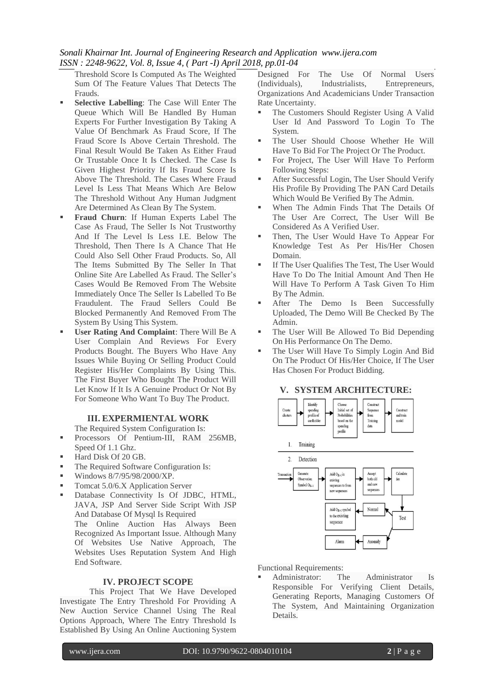#### *Sonali Khairnar Int. Journal of Engineering Research and Application www.ijera.com ISSN : 2248-9622, Vol. 8, Issue 4, ( Part -I) April 2018, pp.01-04*

- Threshold Score Is Computed As The Weighted Sum Of The Feature Values That Detects The Frauds.
- **Selective Labelling**: The Case Will Enter The Queue Which Will Be Handled By Human Experts For Further Investigation By Taking A Value Of Benchmark As Fraud Score, If The Fraud Score Is Above Certain Threshold. The Final Result Would Be Taken As Either Fraud Or Trustable Once It Is Checked. The Case Is Given Highest Priority If Its Fraud Score Is Above The Threshold. The Cases Where Fraud Level Is Less That Means Which Are Below The Threshold Without Any Human Judgment Are Determined As Clean By The System.
- **Fraud Churn**: If Human Experts Label The Case As Fraud, The Seller Is Not Trustworthy And If The Level Is Less I.E. Below The Threshold, Then There Is A Chance That He Could Also Sell Other Fraud Products. So, All The Items Submitted By The Seller In That Online Site Are Labelled As Fraud. The Seller's Cases Would Be Removed From The Website Immediately Once The Seller Is Labelled To Be Fraudulent. The Fraud Sellers Could Be Blocked Permanently And Removed From The System By Using This System.
- **User Rating And Complaint**: There Will Be A User Complain And Reviews For Every Products Bought. The Buyers Who Have Any Issues While Buying Or Selling Product Could Register His/Her Complaints By Using This. The First Buyer Who Bought The Product Will Let Know If It Is A Genuine Product Or Not By For Someone Who Want To Buy The Product.

#### **III. EXPERMIENTAL WORK**

The Required System Configuration Is:

- **Processors Of Pentium-III, RAM 256MB,** Speed Of 1.1 Ghz.
- Hard Disk Of 20 GB.
- The Required Software Configuration Is:
- Windows 8/7/95/98/2000/XP.
- Tomcat 5.0/6.X Application Server
- Database Connectivity Is Of JDBC, HTML, JAVA, JSP And Server Side Script With JSP And Database Of Mysql Is Required

The Online Auction Has Always Been Recognized As Important Issue. Although Many Of Websites Use Native Approach, The Websites Uses Reputation System And High End Software.

#### **IV. PROJECT SCOPE**

This Project That We Have Developed Investigate The Entry Threshold For Providing A New Auction Service Channel Using The Real Options Approach, Where The Entry Threshold Is Established By Using An Online Auctioning System

Designed For The Use Of Normal Users (Individuals), Industrialists, Entrepreneurs, Organizations And Academicians Under Transaction Rate Uncertainty.

- The Customers Should Register Using A Valid User Id And Password To Login To The System.
- The User Should Choose Whether He Will Have To Bid For The Project Or The Product.
- For Project, The User Will Have To Perform Following Steps:
- **After Successful Login, The User Should Verify** His Profile By Providing The PAN Card Details Which Would Be Verified By The Admin.
- When The Admin Finds That The Details Of The User Are Correct, The User Will Be Considered As A Verified User.
- Then, The User Would Have To Appear For Knowledge Test As Per His/Her Chosen Domain.
- If The User Qualifies The Test, The User Would Have To Do The Initial Amount And Then He Will Have To Perform A Task Given To Him By The Admin.
- After The Demo Is Been Successfully Uploaded, The Demo Will Be Checked By The Admin.
- The User Will Be Allowed To Bid Depending On His Performance On The Demo.
- The User Will Have To Simply Login And Bid On The Product Of His/Her Choice, If The User Has Chosen For Product Bidding.



Functional Requirements:

 Administrator: The Administrator Is Responsible For Verifying Client Details, Generating Reports, Managing Customers Of The System, And Maintaining Organization Details.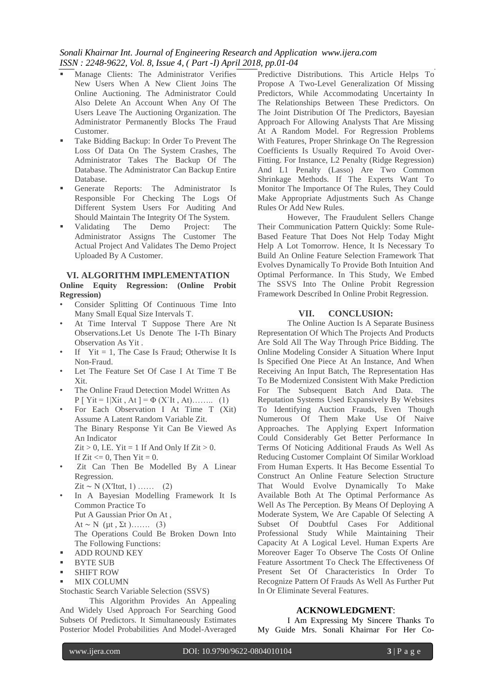# *Sonali Khairnar Int. Journal of Engineering Research and Application www.ijera.com ISSN : 2248-9622, Vol. 8, Issue 4, ( Part -I) April 2018, pp.01-04*

- Manage Clients: The Administrator Verifies New Users When A New Client Joins The Online Auctioning. The Administrator Could Also Delete An Account When Any Of The Users Leave The Auctioning Organization. The Administrator Permanently Blocks The Fraud Customer.
- Take Bidding Backup: In Order To Prevent The Loss Of Data On The System Crashes, The Administrator Takes The Backup Of The Database. The Administrator Can Backup Entire Database.
- Generate Reports: The Administrator Is Responsible For Checking The Logs Of Different System Users For Auditing And Should Maintain The Integrity Of The System.<br>Validating The Demo Project: The
- Validating The Demo Project: The Administrator Assigns The Customer The Actual Project And Validates The Demo Project Uploaded By A Customer.

#### **VI. ALGORITHM IMPLEMENTATION**

**Online Equity Regression: (Online Probit Regression)** 

- Consider Splitting Of Continuous Time Into Many Small Equal Size Intervals T.
- At Time Interval T Suppose There Are Nt Observations.Let Us Denote The I-Th Binary Observation As Yit .
- If  $Yit = 1$ . The Case Is Fraud: Otherwise It Is Non-Fraud.
- Let The Feature Set Of Case I At Time T Be Xit.
- The Online Fraud Detection Model Written As  $P [ Yit = 1 | Xit, At] = \Phi (XIt, At)$ …….. (1)
- For Each Observation I At Time T (Xit) Assume A Latent Random Variable Zit. The Binary Response Yit Can Be Viewed As An Indicator  $Zit > 0$ , I.E. Yit = 1 If And Only If  $Zit > 0$ .
	- If  $Zit \leq 0$ , Then Yit = 0.
- Zit Can Then Be Modelled By A Linear Regression.  $Zit \sim N(X'Itat, 1) \dots (2)$
- In A Bayesian Modelling Framework It Is Common Practice To Put A Gaussian Prior On Αt , Αt ∼ N (µt , Σt )……. (3) The Operations Could Be Broken Down Into The Following Functions:
- ADD ROUND KEY
- BYTE SUB
- SHIFT ROW
- MIX COLUMN
- Stochastic Search Variable Selection (SSVS)

This Algorithm Provides An Appealing And Widely Used Approach For Searching Good Subsets Of Predictors. It Simultaneously Estimates Posterior Model Probabilities And Model-Averaged

Predictive Distributions. This Article Helps To Propose A Two-Level Generalization Of Missing Predictors, While Accommodating Uncertainty In The Relationships Between These Predictors. On The Joint Distribution Of The Predictors, Bayesian Approach For Allowing Analysts That Are Missing At A Random Model. For Regression Problems With Features, Proper Shrinkage On The Regression Coefficients Is Usually Required To Avoid Over-Fitting. For Instance, L2 Penalty (Ridge Regression) And L1 Penalty (Lasso) Are Two Common Shrinkage Methods. If The Experts Want To Monitor The Importance Of The Rules, They Could Make Appropriate Adjustments Such As Change Rules Or Add New Rules.

However, The Fraudulent Sellers Change Their Communication Pattern Quickly: Some Rule-Based Feature That Does Not Help Today Might Help A Lot Tomorrow. Hence, It Is Necessary To Build An Online Feature Selection Framework That Evolves Dynamically To Provide Both Intuition And Optimal Performance. In This Study, We Embed The SSVS Into The Online Probit Regression Framework Described In Online Probit Regression.

#### **VII. CONCLUSION:**

The Online Auction Is A Separate Business Representation Of Which The Projects And Products Are Sold All The Way Through Price Bidding. The Online Modeling Consider A Situation Where Input Is Specified One Piece At An Instance, And When Receiving An Input Batch, The Representation Has To Be Modernized Consistent With Make Prediction For The Subsequent Batch And Data. The Reputation Systems Used Expansively By Websites To Identifying Auction Frauds, Even Though Numerous Of Them Make Use Of Naive Approaches. The Applying Expert Information Could Considerably Get Better Performance In Terms Of Noticing Additional Frauds As Well As Reducing Customer Complaint Of Similar Workload From Human Experts. It Has Become Essential To Construct An Online Feature Selection Structure That Would Evolve Dynamically To Make Available Both At The Optimal Performance As Well As The Perception. By Means Of Deploying A Moderate System, We Are Capable Of Selecting A Subset Of Doubtful Cases For Additional Professional Study While Maintaining Their Capacity At A Logical Level. Human Experts Are Moreover Eager To Observe The Costs Of Online Feature Assortment To Check The Effectiveness Of Present Set Of Characteristics In Order To Recognize Pattern Of Frauds As Well As Further Put In Or Eliminate Several Features.

#### **ACKNOWLEDGMENT**:

I Am Expressing My Sincere Thanks To My Guide Mrs. Sonali Khairnar For Her Co-